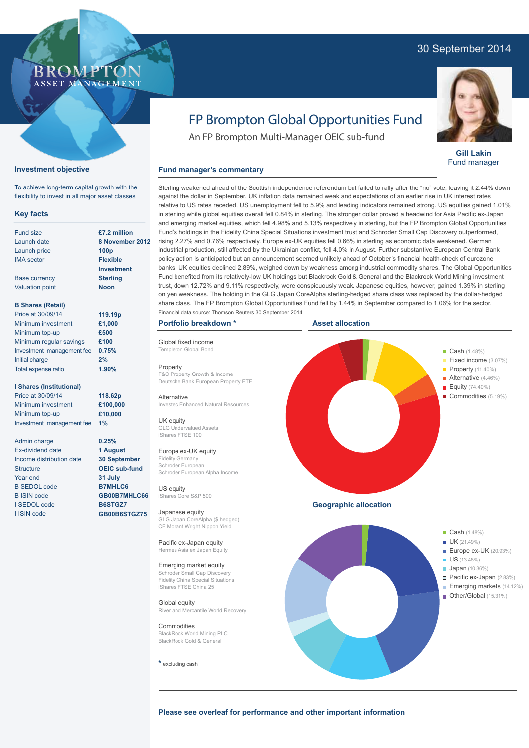## 30 September 2014



#### **Gill Lakin** Fund manager

# FP Brompton Global Opportunities Fund

Sterling weakened ahead of the Scottish independence referendum but failed to rally after the "no" vote, leaving it 2.44% down against the dollar in September. UK inflation data remained weak and expectations of an earlier rise in UK interest rates relative to US rates receded. US unemployment fell to 5.9% and leading indicators remained strong. US equities gained 1.01% in sterling while global equities overall fell 0.84% in sterling. The stronger dollar proved a headwind for Asia Pacific ex-Japan and emerging market equities, which fell 4.98% and 5.13% respectively in sterling, but the FP Brompton Global Opportunities Fund's holdings in the Fidelity China Special Situations investment trust and Schroder Small Cap Discovery outperformed,

An FP Brompton Multi-Manager OEIC sub-fund

### **Fund manager's commentary**

**£7.2 million 8 November 2012 100p Flexible Investment Sterling**

**B Shares (Retail)**

Base currency Valuation point

**Key facts** Fund size Launch date Launch price IMA sector

**Investment objective**

To achieve long-term capital growth with the flexibility to invest in all major asset classes

ROMP ASSET MANAGEMENT

| Price at 30/09/14         | 119.19p |
|---------------------------|---------|
| Minimum investment        | £1,000  |
| Minimum top-up            | £500    |
| Minimum regular savings   | £100    |
| Investment management fee | 0.75%   |
| Initial charge            | 2%      |
| Total expense ratio       | 1.90%   |

#### **I Shares (Institutional)**

Price at 30/09/14 Minimum investment Minimum top-up Investment management fee

Admin charge Ex-dividend date Income distribution date **Structure** Year end B SEDOL code B ISIN code I SEDOL code I ISIN code

**Noon**

**118.62p £100,000 £10,000 1%**

**0.25% 1 August 30 September OEIC sub-fund 31 July B7MHLC6 GB00B7MHLC66 B6STGZ7 GB00B6STGZ75**

Templeton Global Bong Property F&C Property Growth & Income

Global fixed income

**Portfolio breakdown \***

Deutsche Bank European Property ETF

**Alternative** Investec Enhanced Natural Resources

UK equity GLG Undervalued Assets iShares FTSE 100

Europe ex-UK equity Fidelity Germany Schroder European Schroder European Alpha Income

US equity iShares Core S&P 500

Japanese equity GLG Japan CoreAlpha (\$ hedged) CF Morant Wright Nippon Yield

Pacific ex-Japan equity Hermes Asia ex Japan Equity

## Emerging market equity

**S**mall Cap Discover Fidelity China Special Situations iShares FTSE China 25

Global equity River and Mercantile World Recovery

**Commodities** BlackRock World Mining PLC BlackRock Gold & General

**\*** excluding cash



**Please see overleaf for performance and other important information**